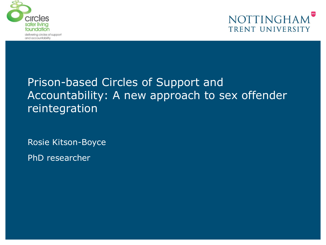



### Prison-based Circles of Support and Accountability: A new approach to sex offender reintegration

Rosie Kitson-Boyce

PhD researcher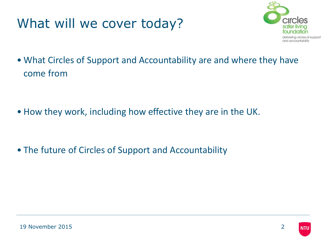### What will we cover today?



• What Circles of Support and Accountability are and where they have come from

• How they work, including how effective they are in the UK.

• The future of Circles of Support and Accountability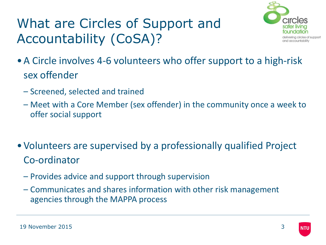# What are Circles of Support and Accountability (CoSA)?



- •A Circle involves 4-6 volunteers who offer support to a high-risk sex offender
	- Screened, selected and trained
	- Meet with a Core Member (sex offender) in the community once a week to offer social support
- •Volunteers are supervised by a professionally qualified Project Co-ordinator
	- Provides advice and support through supervision
	- Communicates and shares information with other risk management agencies through the MAPPA process

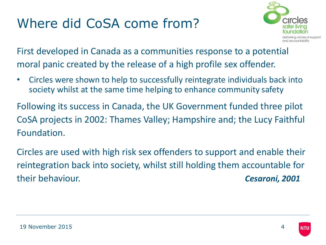## Where did CoSA come from?



First developed in Canada as a communities response to a potential moral panic created by the release of a high profile sex offender.

• Circles were shown to help to successfully reintegrate individuals back into society whilst at the same time helping to enhance community safety

Following its success in Canada, the UK Government funded three pilot CoSA projects in 2002: Thames Valley; Hampshire and; the Lucy Faithful Foundation.

Circles are used with high risk sex offenders to support and enable their reintegration back into society, whilst still holding them accountable for their behaviour. *Cesaroni, 2001*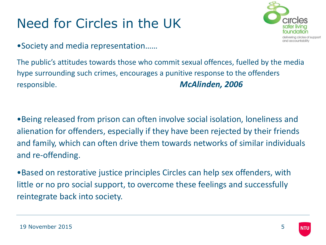# Need for Circles in the UK

•Society and media representation……



The public's attitudes towards those who commit sexual offences, fuelled by the media hype surrounding such crimes, encourages a punitive response to the offenders responsible. *McAlinden, 2006*

•Being released from prison can often involve social isolation, loneliness and alienation for offenders, especially if they have been rejected by their friends and family, which can often drive them towards networks of similar individuals and re-offending.

•Based on restorative justice principles Circles can help sex offenders, with little or no pro social support, to overcome these feelings and successfully reintegrate back into society.

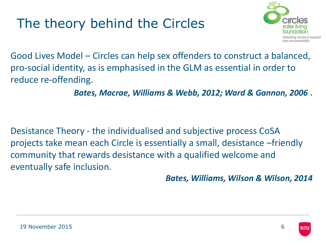# The theory behind the Circles



Good Lives Model – Circles can help sex offenders to construct a balanced, pro-social identity, as is emphasised in the GLM as essential in order to reduce re-offending.

*Bates, Macrae, Williams & Webb, 2012; Ward & Gannon, 2006* .

Desistance Theory - the individualised and subjective process CoSA projects take mean each Circle is essentially a small, desistance –friendly community that rewards desistance with a qualified welcome and eventually safe inclusion.

*Bates, Williams, Wilson & Wilson, 2014*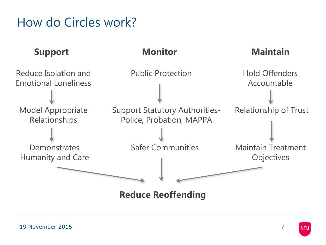### How do Circles work?



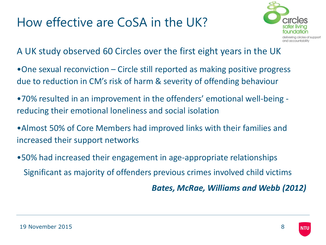### How effective are CoSA in the UK?



A UK study observed 60 Circles over the first eight years in the UK

- •One sexual reconviction Circle still reported as making positive progress due to reduction in CM's risk of harm & severity of offending behaviour
- •70% resulted in an improvement in the offenders' emotional well-being reducing their emotional loneliness and social isolation
- •Almost 50% of Core Members had improved links with their families and increased their support networks
- •50% had increased their engagement in age-appropriate relationships Significant as majority of offenders previous crimes involved child victims

*Bates, McRae, Williams and Webb (2012)*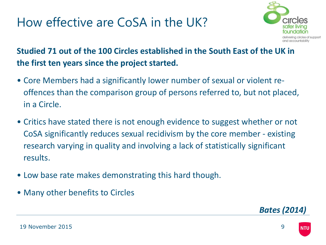### How effective are CoSA in the UK?



#### **Studied 71 out of the 100 Circles established in the South East of the UK in the first ten years since the project started.**

- Core Members had a significantly lower number of sexual or violent reoffences than the comparison group of persons referred to, but not placed, in a Circle.
- Critics have stated there is not enough evidence to suggest whether or not CoSA significantly reduces sexual recidivism by the core member - existing research varying in quality and involving a lack of statistically significant results.
- Low base rate makes demonstrating this hard though.
- Many other benefits to Circles



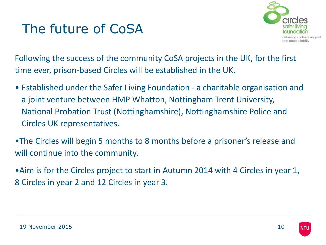

Following the success of the community CoSA projects in the UK, for the first time ever, prison-based Circles will be established in the UK.

- Established under the Safer Living Foundation a charitable organisation and a joint venture between HMP Whatton, Nottingham Trent University, National Probation Trust (Nottinghamshire), Nottinghamshire Police and Circles UK representatives.
- •The Circles will begin 5 months to 8 months before a prisoner's release and will continue into the community.
- •Aim is for the Circles project to start in Autumn 2014 with 4 Circles in year 1, 8 Circles in year 2 and 12 Circles in year 3.

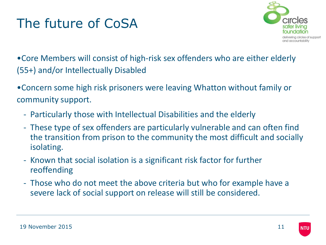

•Core Members will consist of high-risk sex offenders who are either elderly (55+) and/or Intellectually Disabled

•Concern some high risk prisoners were leaving Whatton without family or community support.

- Particularly those with Intellectual Disabilities and the elderly
- These type of sex offenders are particularly vulnerable and can often find the transition from prison to the community the most difficult and socially isolating.
- Known that social isolation is a significant risk factor for further reoffending
- Those who do not meet the above criteria but who for example have a severe lack of social support on release will still be considered.

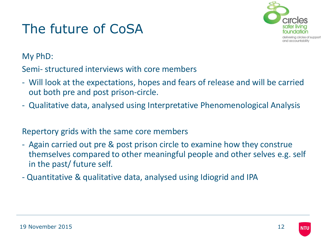

My PhD:

Semi- structured interviews with core members

- Will look at the expectations, hopes and fears of release and will be carried out both pre and post prison-circle.
- Qualitative data, analysed using Interpretative Phenomenological Analysis

#### Repertory grids with the same core members

- Again carried out pre & post prison circle to examine how they construe themselves compared to other meaningful people and other selves e.g. self in the past/ future self.
- Quantitative & qualitative data, analysed using Idiogrid and IPA

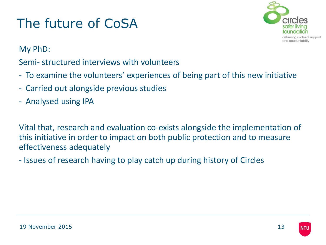

My PhD:

Semi- structured interviews with volunteers

- To examine the volunteers' experiences of being part of this new initiative
- Carried out alongside previous studies
- Analysed using IPA

Vital that, research and evaluation co-exists alongside the implementation of this initiative in order to impact on both public protection and to measure effectiveness adequately

- Issues of research having to play catch up during history of Circles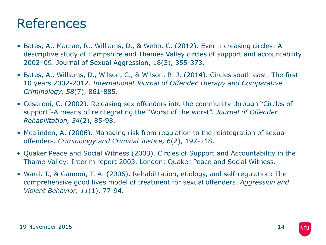### References

- Bates, A., Macrae, R., Williams, D., & Webb, C. (2012). Ever-increasing circles: A descriptive study of Hampshire and Thames Valley circles of support and accountability 2002–09. Journal of Sexual Aggression, 18(3), 355-373.
- Bates, A., Williams, D., Wilson, C., & Wilson, R. J. (2014). Circles south east: The first 10 years 2002-2012. *International Journal of Offender Therapy and Comparative Criminology, 58*(7), 861-885.
- Cesaroni, C. (2002). Releasing sex offenders into the community through "Circles of support"-A means of reintegrating the "Worst of the worst". *Journal of Offender Rehabilitation, 34*(2), 85-98.
- Mcalinden, A. (2006). Managing risk from regulation to the reintegration of sexual offenders. *Criminology and Criminal Justice, 6*(2), 197-218.
- Quaker Peace and Social Witness (2003). Circles of Support and Accountability in the Thame Valley: Interim report 2003. London: Quaker Peace and Social Witness.
- Ward, T., & Gannon, T. A. (2006). Rehabilitation, etiology, and self-regulation: The comprehensive good lives model of treatment for sexual offenders. *Aggression and Violent Behavior, 11*(1), 77-94.